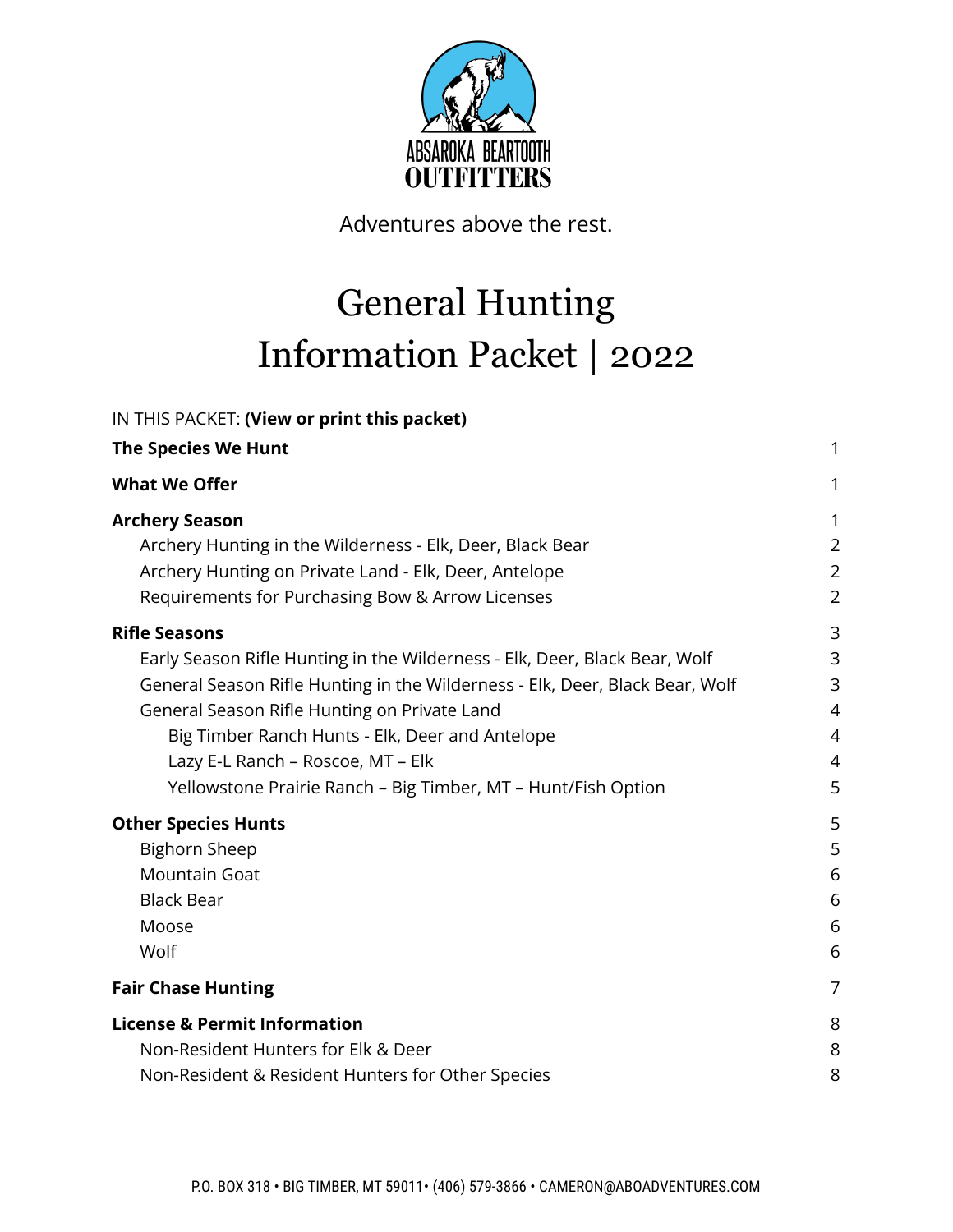

Adventures above the rest.

### General Hunting Information Packet | 2022

| IN THIS PACKET: (View or print this packet)                                  |                |
|------------------------------------------------------------------------------|----------------|
| <b>The Species We Hunt</b>                                                   | 1              |
| <b>What We Offer</b>                                                         | 1              |
| <b>Archery Season</b>                                                        | 1              |
| Archery Hunting in the Wilderness - Elk, Deer, Black Bear                    | $\overline{2}$ |
| Archery Hunting on Private Land - Elk, Deer, Antelope                        | $\overline{2}$ |
| Requirements for Purchasing Bow & Arrow Licenses                             | $\overline{2}$ |
| <b>Rifle Seasons</b>                                                         | 3              |
| Early Season Rifle Hunting in the Wilderness - Elk, Deer, Black Bear, Wolf   | 3              |
| General Season Rifle Hunting in the Wilderness - Elk, Deer, Black Bear, Wolf | 3              |
| General Season Rifle Hunting on Private Land                                 | 4              |
| Big Timber Ranch Hunts - Elk, Deer and Antelope                              | 4              |
| Lazy E-L Ranch - Roscoe, MT - Elk                                            | $\overline{4}$ |
| Yellowstone Prairie Ranch - Big Timber, MT - Hunt/Fish Option                | 5              |
| <b>Other Species Hunts</b>                                                   | 5              |
| <b>Bighorn Sheep</b>                                                         | 5              |
| <b>Mountain Goat</b>                                                         | 6              |
| <b>Black Bear</b>                                                            | 6              |
| Moose                                                                        | 6              |
| Wolf                                                                         | 6              |
| <b>Fair Chase Hunting</b>                                                    | $\overline{7}$ |
| <b>License &amp; Permit Information</b>                                      | 8              |
| Non-Resident Hunters for Elk & Deer                                          | 8              |
| Non-Resident & Resident Hunters for Other Species                            | 8              |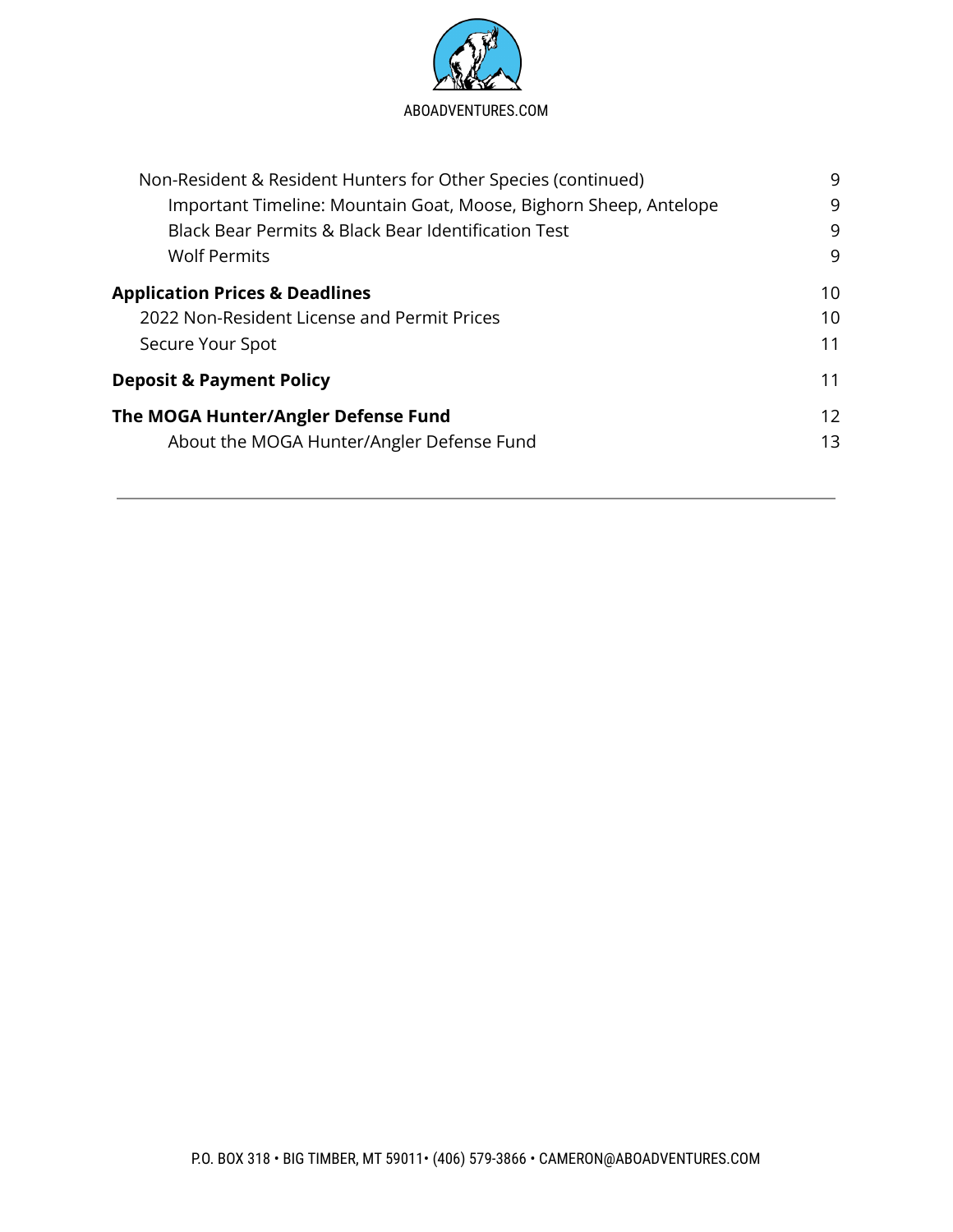

| Non-Resident & Resident Hunters for Other Species (continued)     |    |
|-------------------------------------------------------------------|----|
| Important Timeline: Mountain Goat, Moose, Bighorn Sheep, Antelope | 9  |
| <b>Black Bear Permits &amp; Black Bear Identification Test</b>    | 9  |
| <b>Wolf Permits</b>                                               | 9  |
| <b>Application Prices &amp; Deadlines</b>                         | 10 |
| 2022 Non-Resident License and Permit Prices                       | 10 |
| Secure Your Spot                                                  | 11 |
| <b>Deposit &amp; Payment Policy</b>                               | 11 |
| The MOGA Hunter/Angler Defense Fund                               | 12 |
| About the MOGA Hunter/Angler Defense Fund                         | 13 |
|                                                                   |    |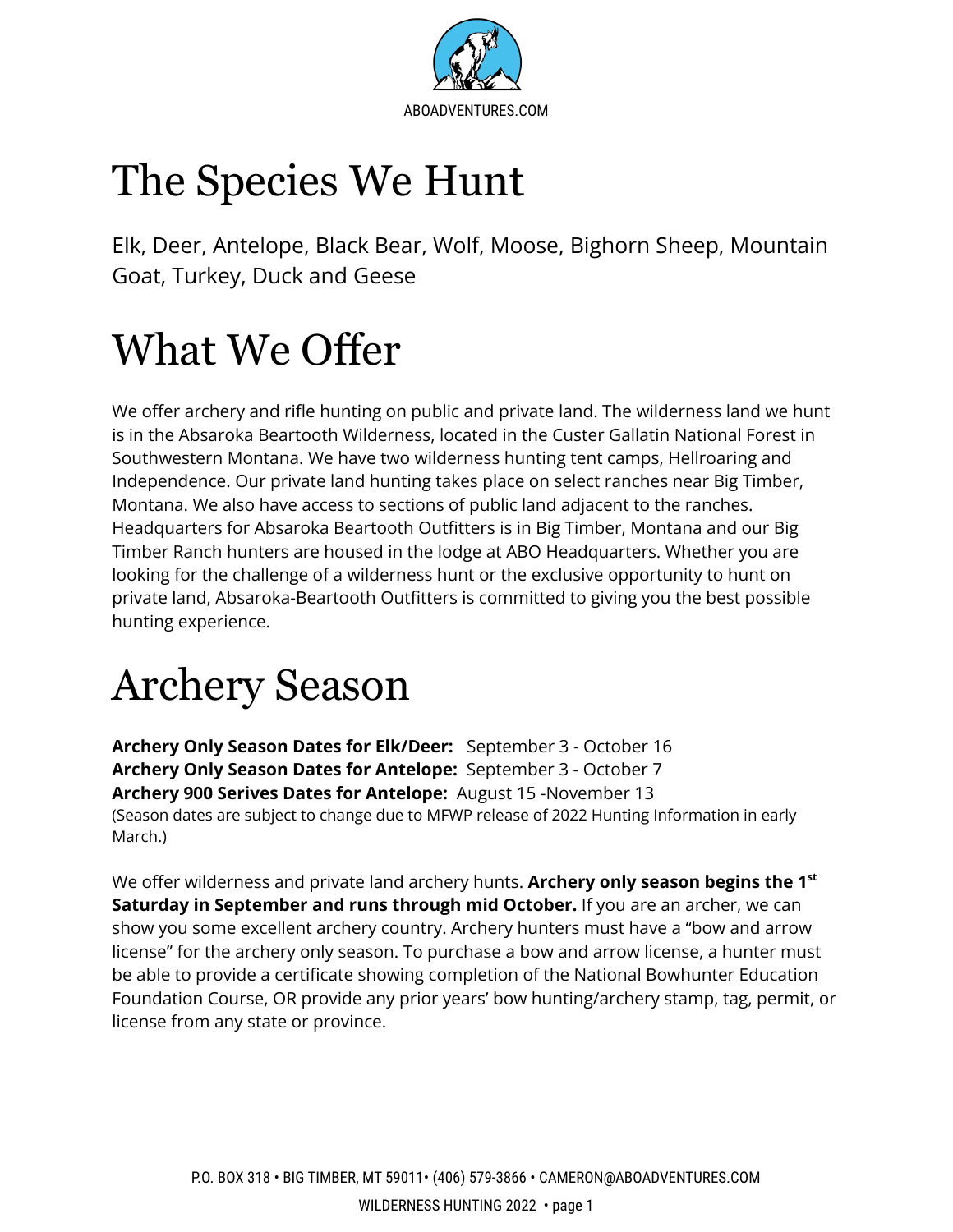

# <span id="page-2-0"></span>The Species We Hunt

Elk, Deer, Antelope, Black Bear, Wolf, Moose, Bighorn Sheep, Mountain Goat, Turkey, Duck and Geese

# <span id="page-2-1"></span>What We Offer

We offer archery and rifle hunting on public and private land. The wilderness land we hunt is in the Absaroka Beartooth Wilderness, located in the Custer Gallatin National Forest in Southwestern Montana. We have two wilderness hunting tent camps, Hellroaring and Independence. Our private land hunting takes place on select ranches near Big Timber, Montana. We also have access to sections of public land adjacent to the ranches. Headquarters for Absaroka Beartooth Outfitters is in Big Timber, Montana and our Big Timber Ranch hunters are housed in the lodge at ABO Headquarters. Whether you are looking for the challenge of a wilderness hunt or the exclusive opportunity to hunt on private land, Absaroka-Beartooth Outfitters is committed to giving you the best possible hunting experience.

## <span id="page-2-2"></span>Archery Season

**Archery Only Season Dates for Elk/Deer:** September 3 - October 16 **Archery Only Season Dates for Antelope:** September 3 - October 7 **Archery 900 Serives Dates for Antelope:** August 15 -November 13 (Season dates are subject to change due to MFWP release of 2022 Hunting Information in early March.)

We offer wilderness and private land archery hunts. **Archery only season begins the 1 st Saturday in September and runs through mid October.** If you are an archer, we can show you some excellent archery country. Archery hunters must have a "bow and arrow license" for the archery only season. To purchase a bow and arrow license, a hunter must be able to provide a certificate showing completion of the National Bowhunter Education Foundation Course, OR provide any prior years' bow hunting/archery stamp, tag, permit, or license from any state or province.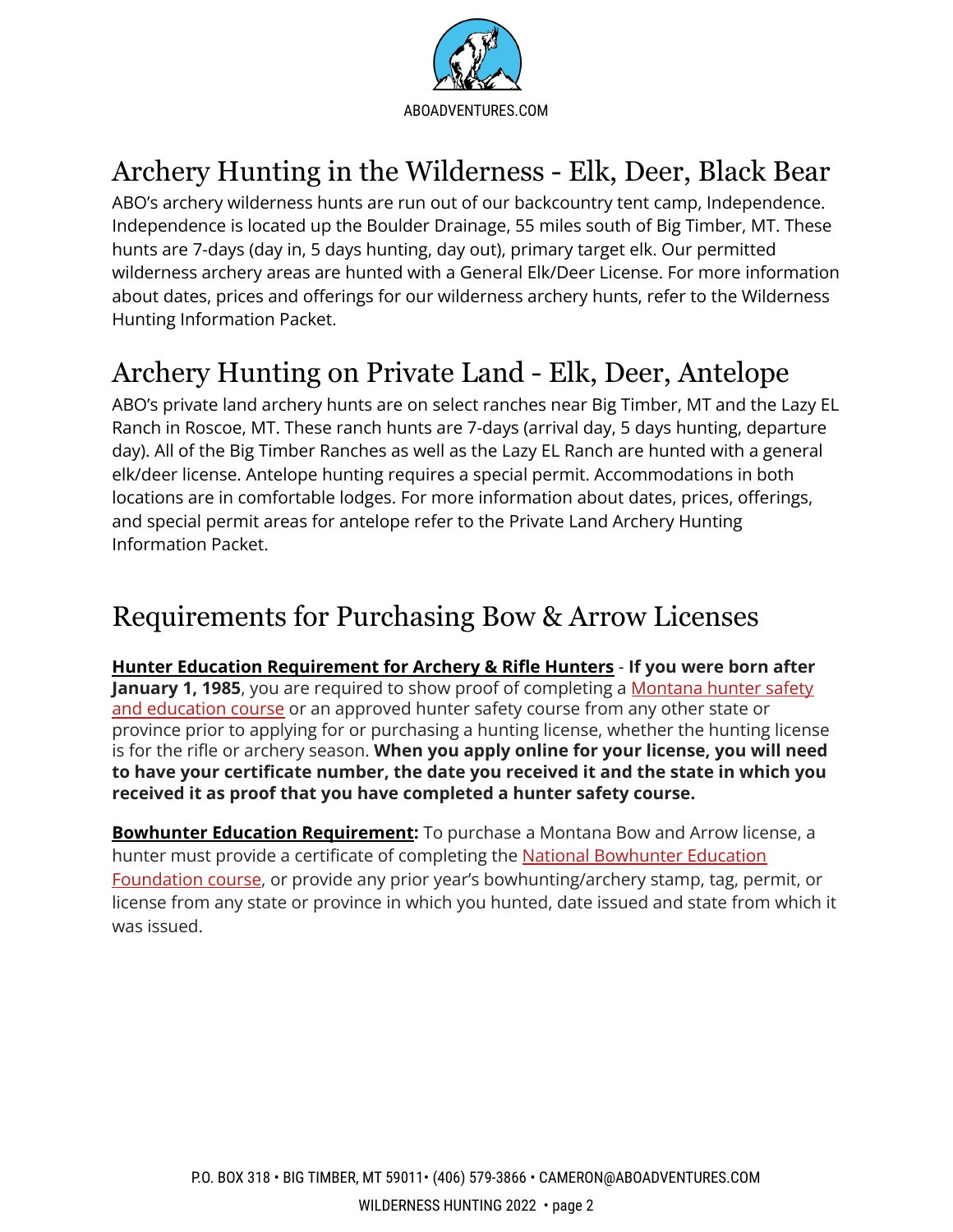

### <span id="page-3-0"></span>Archery Hunting in the Wilderness - Elk, Deer, Black Bear

ABO's archery wilderness hunts are run out of our backcountry tent camp, Independence. Independence is located up the Boulder Drainage, 55 miles south of Big Timber, MT. These hunts are 7-days (day in, 5 days hunting, day out), primary target elk. Our permitted wilderness archery areas are hunted with a General Elk/Deer License. For more information about dates, prices and offerings for our wilderness archery hunts, refer to the Wilderness Hunting Information Packet.

#### <span id="page-3-1"></span>Archery Hunting on Private Land - Elk, Deer, Antelope

ABO's private land archery hunts are on select ranches near Big Timber, MT and the Lazy EL Ranch in Roscoe, MT. These ranch hunts are 7-days (arrival day, 5 days hunting, departure day). All of the Big Timber Ranches as well as the Lazy EL Ranch are hunted with a general elk/deer license. Antelope hunting requires a special permit. Accommodations in both locations are in comfortable lodges. For more information about dates, prices, offerings, and special permit areas for antelope refer to the Private Land Archery Hunting Information Packet.

#### <span id="page-3-2"></span>Requirements for Purchasing Bow & Arrow Licenses

**Hunter Education Requirement for Archery & Rifle Hunters** - **If you were born after January 1, 1985**, you are required to show proof of completing a [Montana](http://fwp.mt.gov/education/hunter/) hunter safety and [education](http://fwp.mt.gov/education/hunter/) course or an approved hunter safety course from any other state or province prior to applying for or purchasing a hunting license, whether the hunting license is for the rifle or archery season. **When you apply online for your license, you will need to have your certificate number, the date you received it and the state in which you received it as proof that you have completed a hunter safety course.**

**Bowhunter Education Requirement:** To purchase a Montana Bow and Arrow license, a hunter must provide a certificate of completing the National [Bowhunter](http://fwp.mt.gov/education/hunter/) Education [Foundation](http://fwp.mt.gov/education/hunter/) course, or provide any prior year's bowhunting/archery stamp, tag, permit, or license from any state or province in which you hunted, date issued and state from which it was issued.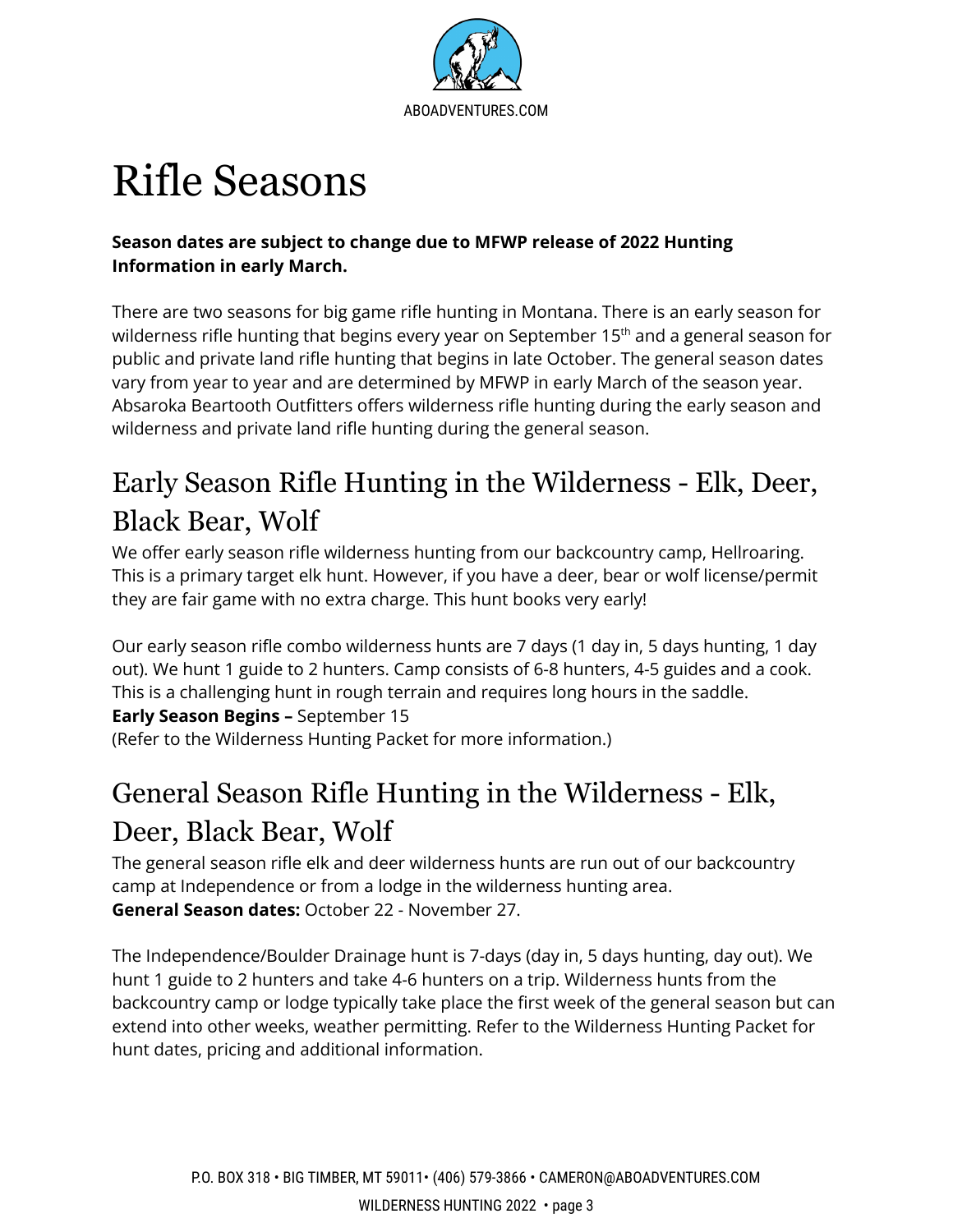

## Rifle Seasons

#### **Season dates are subject to change due to MFWP release of 2022 Hunting Information in early March.**

There are two seasons for big game rifle hunting in Montana. There is an early season for wilderness rifle hunting that begins every year on September 15<sup>th</sup> and a general season for public and private land rifle hunting that begins in late October. The general season dates vary from year to year and are determined by MFWP in early March of the season year. Absaroka Beartooth Outfitters offers wilderness rifle hunting during the early season and wilderness and private land rifle hunting during the general season.

### Early Season Rifle Hunting in the Wilderness - Elk, Deer, Black Bear, Wolf

<span id="page-4-0"></span>We offer early season rifle wilderness hunting from our backcountry camp, Hellroaring. This is a primary target elk hunt. However, if you have a deer, bear or wolf license/permit they are fair game with no extra charge. This hunt books very early!

Our early season rifle combo wilderness hunts are 7 days (1 day in, 5 days hunting, 1 day out). We hunt 1 guide to 2 hunters. Camp consists of 6-8 hunters, 4-5 guides and a cook. This is a challenging hunt in rough terrain and requires long hours in the saddle. **Early Season Begins –** September 15

(Refer to the Wilderness Hunting Packet for more information.)

### General Season Rifle Hunting in the Wilderness - Elk, Deer, Black Bear, Wolf

<span id="page-4-1"></span>The general season rifle elk and deer wilderness hunts are run out of our backcountry camp at Independence or from a lodge in the wilderness hunting area. **General Season dates:** October 22 - November 27.

The Independence/Boulder Drainage hunt is 7-days (day in, 5 days hunting, day out). We hunt 1 guide to 2 hunters and take 4-6 hunters on a trip. Wilderness hunts from the backcountry camp or lodge typically take place the first week of the general season but can extend into other weeks, weather permitting. Refer to the Wilderness Hunting Packet for hunt dates, pricing and additional information.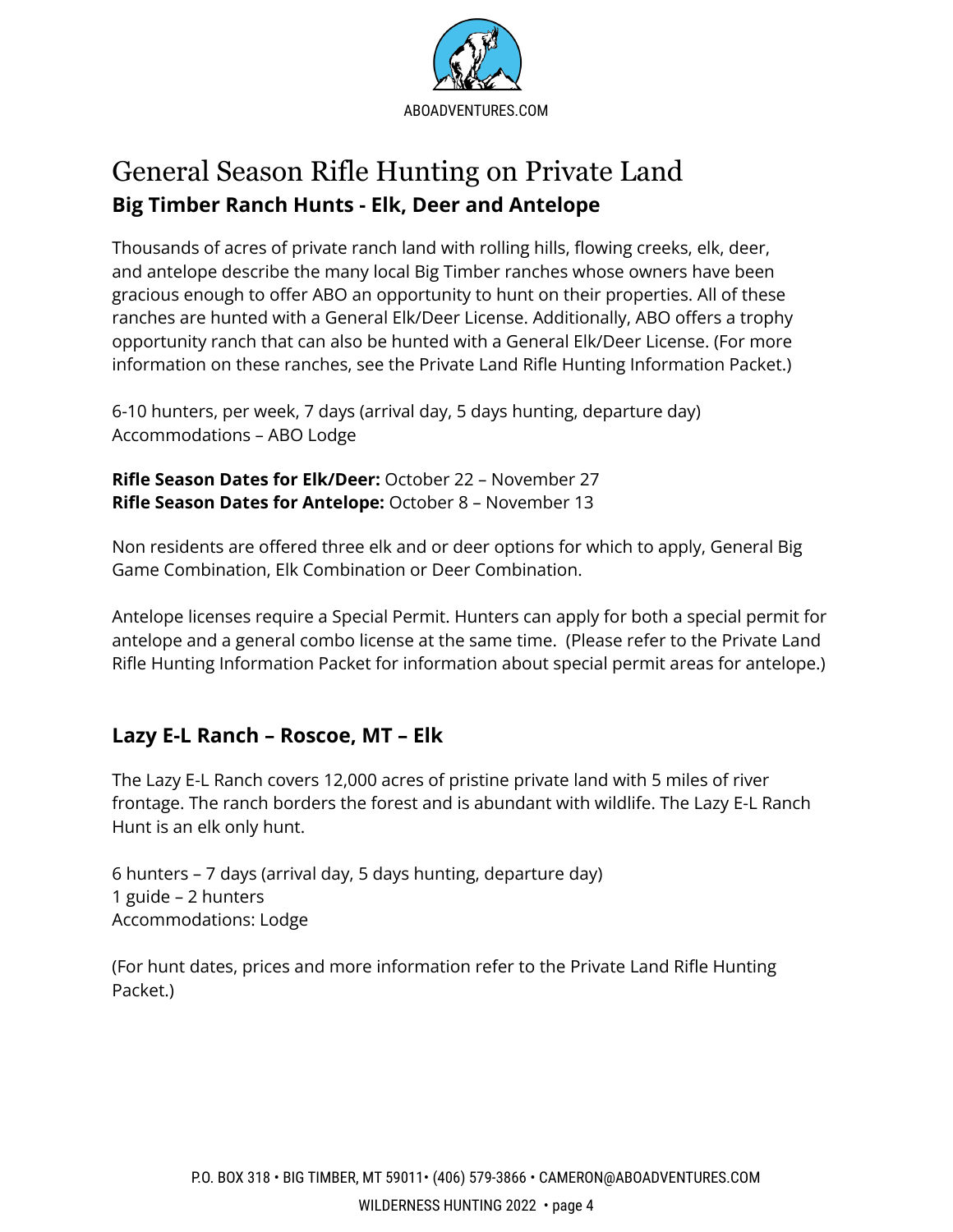

#### <span id="page-5-1"></span><span id="page-5-0"></span>General Season Rifle Hunting on Private Land **Big Timber Ranch Hunts - Elk, Deer and Antelope**

Thousands of acres of private ranch land with rolling hills, flowing creeks, elk, deer, and antelope describe the many local Big Timber ranches whose owners have been gracious enough to offer ABO an opportunity to hunt on their properties. All of these ranches are hunted with a General Elk/Deer License. Additionally, ABO offers a trophy opportunity ranch that can also be hunted with a General Elk/Deer License. (For more information on these ranches, see the Private Land Rifle Hunting Information Packet.)

6-10 hunters, per week, 7 days (arrival day, 5 days hunting, departure day) Accommodations – ABO Lodge

**Rifle Season Dates for Elk/Deer:** October 22 – November 27 **Rifle Season Dates for Antelope:** October 8 – November 13

Non residents are offered three elk and or deer options for which to apply, General Big Game Combination, Elk Combination or Deer Combination.

Antelope licenses require a Special Permit. Hunters can apply for both a special permit for antelope and a general combo license at the same time. (Please refer to the Private Land Rifle Hunting Information Packet for information about special permit areas for antelope.)

#### <span id="page-5-2"></span>**Lazy E-L Ranch – Roscoe, MT – Elk**

The Lazy E-L Ranch covers 12,000 acres of pristine private land with 5 miles of river frontage. The ranch borders the forest and is abundant with wildlife. The Lazy E-L Ranch Hunt is an elk only hunt.

6 hunters – 7 days (arrival day, 5 days hunting, departure day) 1 guide – 2 hunters Accommodations: Lodge

(For hunt dates, prices and more information refer to the Private Land Rifle Hunting Packet.)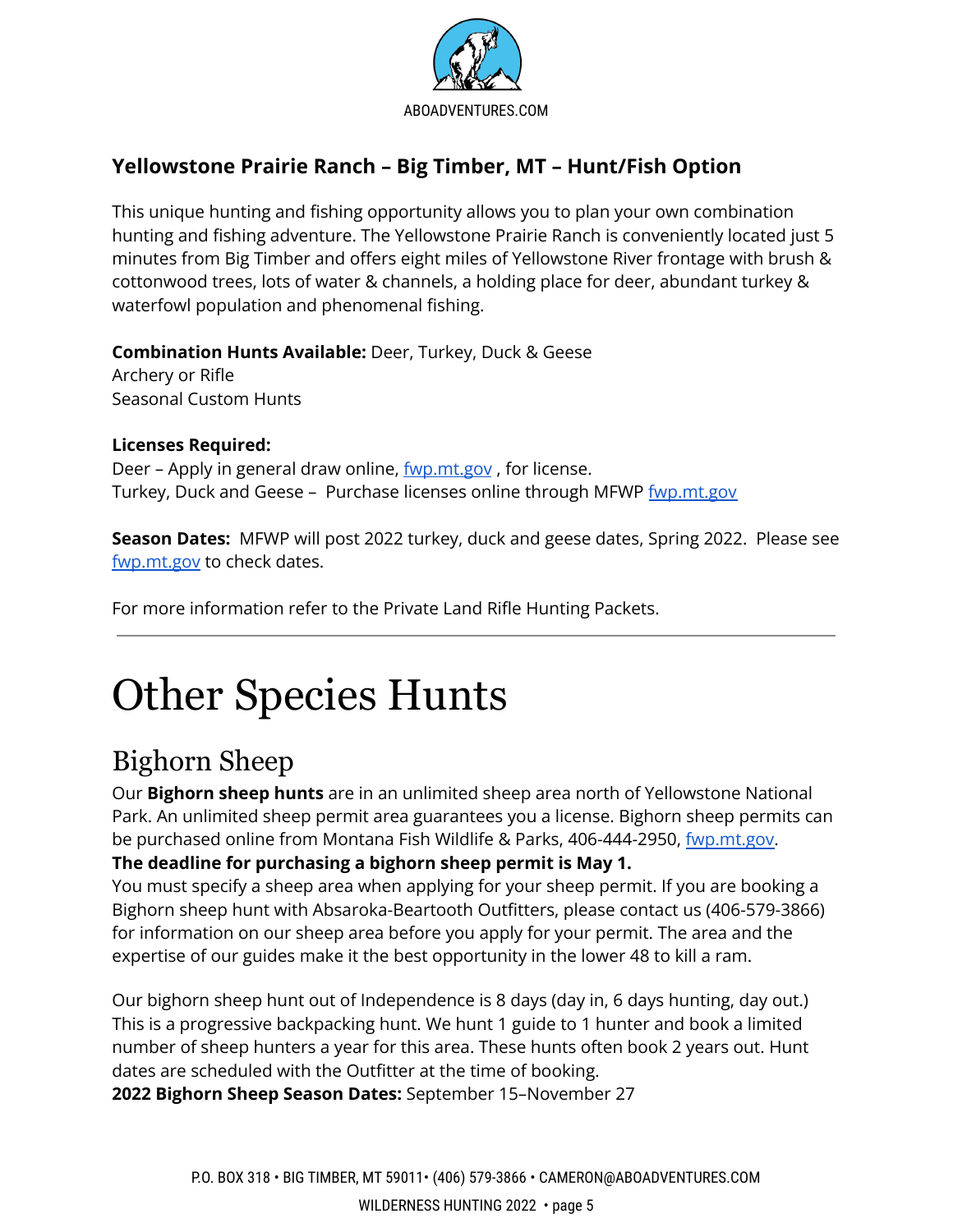

#### <span id="page-6-0"></span>**Yellowstone Prairie Ranch – Big Timber, MT – Hunt/Fish Option**

This unique hunting and fishing opportunity allows you to plan your own combination hunting and fishing adventure. The Yellowstone Prairie Ranch is conveniently located just 5 minutes from Big Timber and offers eight miles of Yellowstone River frontage with brush & cottonwood trees, lots of water & channels, a holding place for deer, abundant turkey & waterfowl population and phenomenal fishing.

**Combination Hunts Available:** Deer, Turkey, Duck & Geese

Archery or Rifle Seasonal Custom Hunts

#### **Licenses Required:**

Deer – Apply in general draw online, <u>[fwp.mt.gov](http://www.fwp.mt.gov)</u>, for license. Turkey, Duck and Geese - Purchase licenses online through MFWP [fwp.mt.gov](http://www.fwp.mt.gov)

**Season Dates:** MFWP will post 2022 turkey, duck and geese dates, Spring 2022. Please see [fwp.mt.gov](http://www.fwp.mt.gov) to check dates.

For more information refer to the Private Land Rifle Hunting Packets.

# <span id="page-6-1"></span>Other Species Hunts

### <span id="page-6-2"></span>Bighorn Sheep

Our **Bighorn sheep hunts** are in an unlimited sheep area north of Yellowstone National Park. An unlimited sheep permit area guarantees you a license. Bighorn sheep permits can be purchased online from Montana Fish Wildlife & Parks, 406-444-2950, [fwp.mt.gov.](http://www.fwp.mt.gov) **The deadline for purchasing a bighorn sheep permit is May 1.**

You must specify a sheep area when applying for your sheep permit. If you are booking a Bighorn sheep hunt with Absaroka-Beartooth Outfitters, please contact us (406-579-3866) for information on our sheep area before you apply for your permit. The area and the expertise of our guides make it the best opportunity in the lower 48 to kill a ram.

Our bighorn sheep hunt out of Independence is 8 days (day in, 6 days hunting, day out.) This is a progressive backpacking hunt. We hunt 1 guide to 1 hunter and book a limited number of sheep hunters a year for this area. These hunts often book 2 years out. Hunt dates are scheduled with the Outfitter at the time of booking.

**2022 Bighorn Sheep Season Dates:** September 15–November 27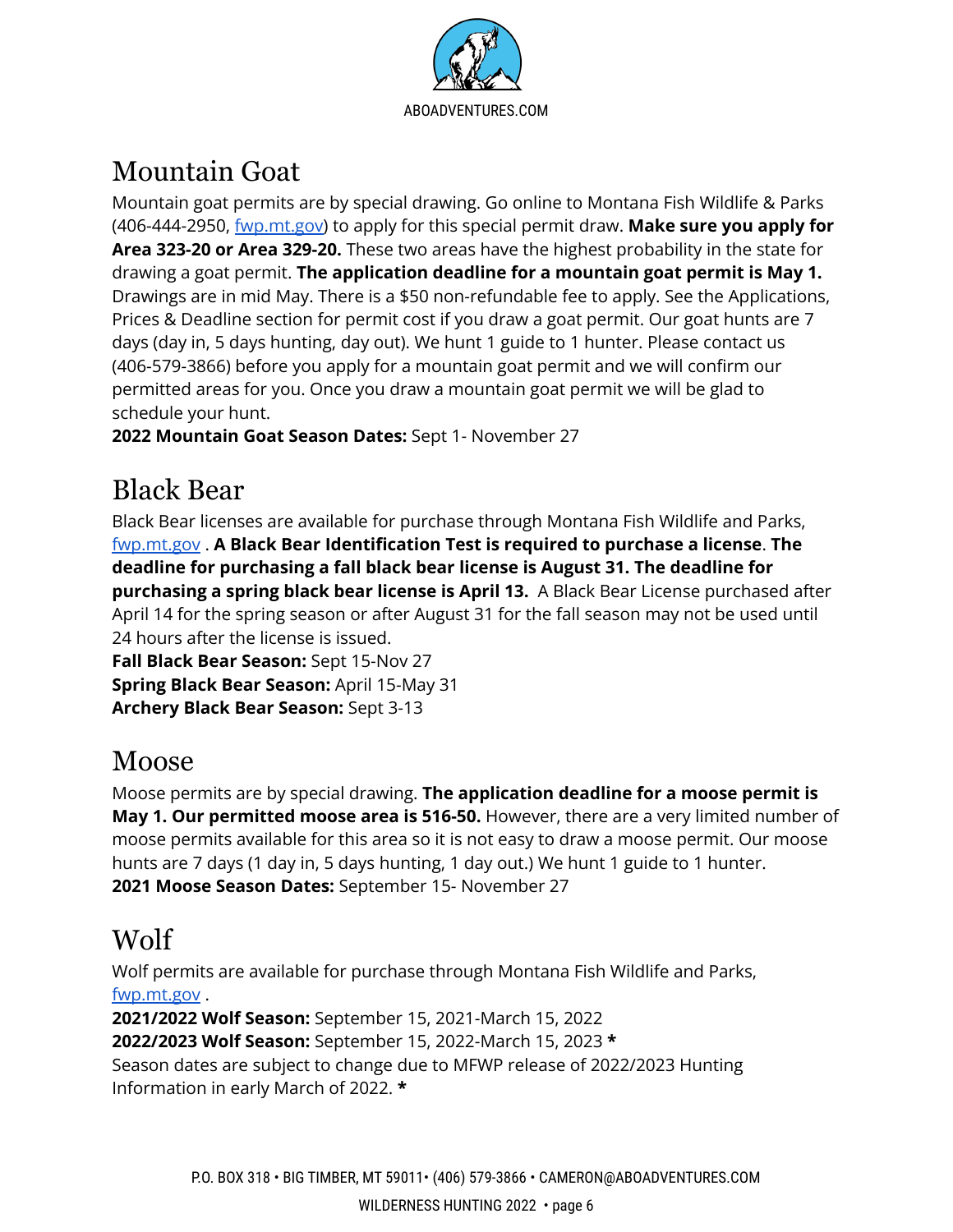[ABOADVENTURES.COM](http://www.absarokabeartooth.com/)

### <span id="page-7-0"></span>Mountain Goat

Mountain goat permits are by special drawing. Go online to Montana Fish Wildlife & Parks (406-444-2950, [fwp.mt.gov\)](http://www.fwp.mt.gov) to apply for this special permit draw. **Make sure you apply for Area 323-20 or Area 329-20.** These two areas have the highest probability in the state for drawing a goat permit. **The application deadline for a mountain goat permit is May 1.** Drawings are in mid May. There is a \$50 non-refundable fee to apply. See the Applications, Prices & Deadline section for permit cost if you draw a goat permit. Our goat hunts are 7 days (day in, 5 days hunting, day out). We hunt 1 guide to 1 hunter. Please contact us (406-579-3866) before you apply for a mountain goat permit and we will confirm our permitted areas for you. Once you draw a mountain goat permit we will be glad to schedule your hunt.

**2022 Mountain Goat Season Dates:** Sept 1- November 27

#### <span id="page-7-1"></span>Black Bear

Black Bear licenses are available for purchase through Montana Fish Wildlife and Parks, [fwp.mt.gov](http://www.fwp.mt.gov) . **A Black Bear Identification Test is required to purchase a license**. **The deadline for purchasing a fall black bear license is August 31. The deadline for purchasing a spring black bear license is April 13.** A Black Bear License purchased after April 14 for the spring season or after August 31 for the fall season may not be used until 24 hours after the license is issued.

**Fall Black Bear Season:** Sept 15-Nov 27 **Spring Black Bear Season:** April 15-May 31 **Archery Black Bear Season:** Sept 3-13

### <span id="page-7-2"></span>Moose

Moose permits are by special drawing. **The application deadline for a moose permit is May 1. Our permitted moose area is 516-50.** However, there are a very limited number of moose permits available for this area so it is not easy to draw a moose permit. Our moose hunts are 7 days (1 day in, 5 days hunting, 1 day out.) We hunt 1 guide to 1 hunter. **2021 Moose Season Dates:** September 15- November 27

### <span id="page-7-3"></span>Wolf

Wolf permits are available for purchase through Montana Fish Wildlife and Parks, [fwp.mt.gov](http://www.fwp.mt.gov) .

**2021/2022 Wolf Season:** September 15, 2021-March 15, 2022 **2022/2023 Wolf Season:** September 15, 2022-March 15, 2023 **\*** Season dates are subject to change due to MFWP release of 2022/2023 Hunting Information in early March of 2022. **\***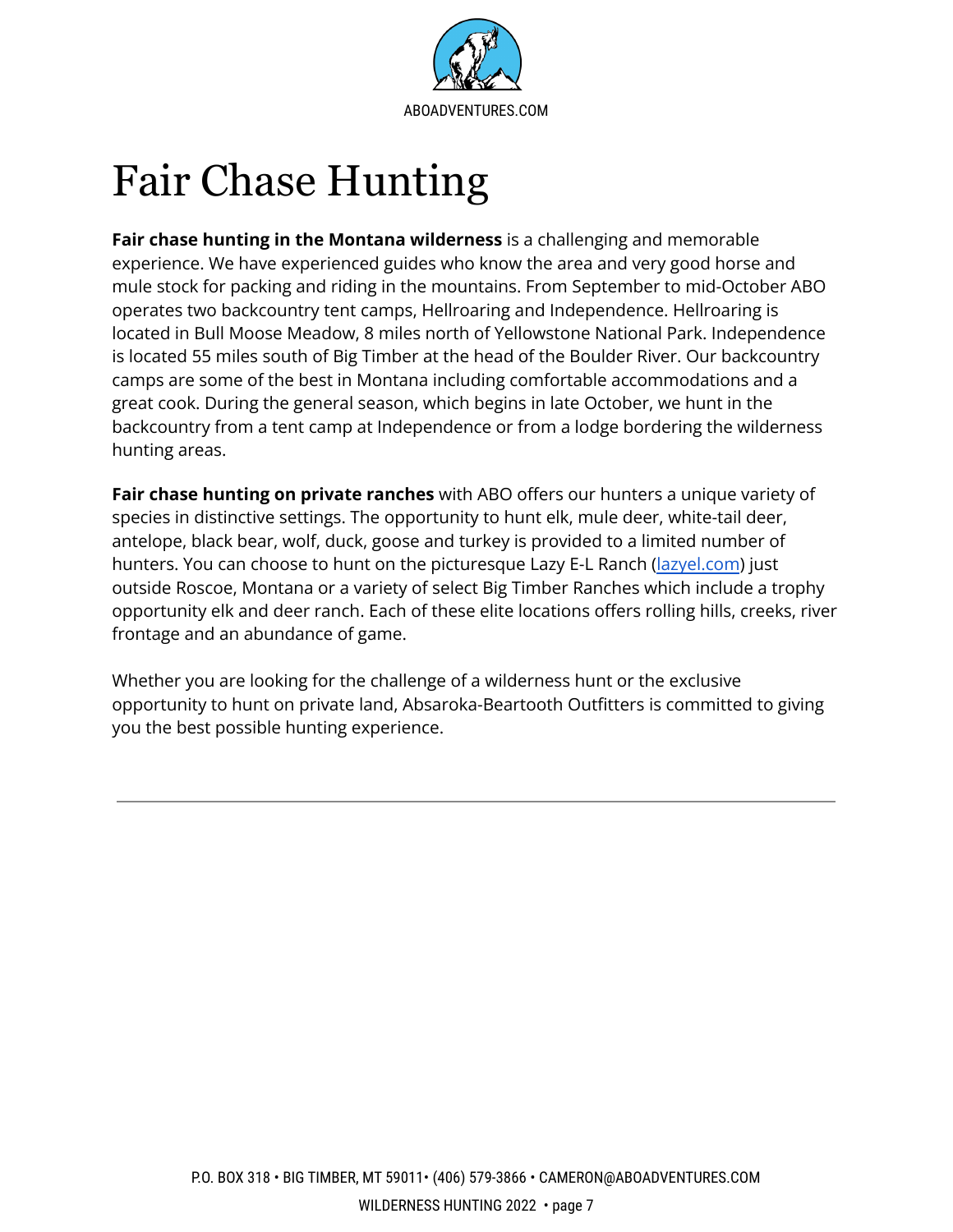

## <span id="page-8-0"></span>Fair Chase Hunting

**Fair chase hunting in the Montana wilderness** is a challenging and memorable experience. We have experienced guides who know the area and very good horse and mule stock for packing and riding in the mountains. From September to mid-October ABO operates two backcountry tent camps, Hellroaring and Independence. Hellroaring is located in Bull Moose Meadow, 8 miles north of Yellowstone National Park. Independence is located 55 miles south of Big Timber at the head of the Boulder River. Our backcountry camps are some of the best in Montana including comfortable accommodations and a great cook. During the general season, which begins in late October, we hunt in the backcountry from a tent camp at Independence or from a lodge bordering the wilderness hunting areas.

**Fair chase hunting on private ranches** with ABO offers our hunters a unique variety of species in distinctive settings. The opportunity to hunt elk, mule deer, white-tail deer, antelope, black bear, wolf, duck, goose and turkey is provided to a limited number of hunters. You can choose to hunt on the picturesque Lazy E-L Ranch [\(lazyel.com](http://www.lazyel.com)) just outside Roscoe, Montana or a variety of select Big Timber Ranches which include a trophy opportunity elk and deer ranch. Each of these elite locations offers rolling hills, creeks, river frontage and an abundance of game.

Whether you are looking for the challenge of a wilderness hunt or the exclusive opportunity to hunt on private land, Absaroka-Beartooth Outfitters is committed to giving you the best possible hunting experience.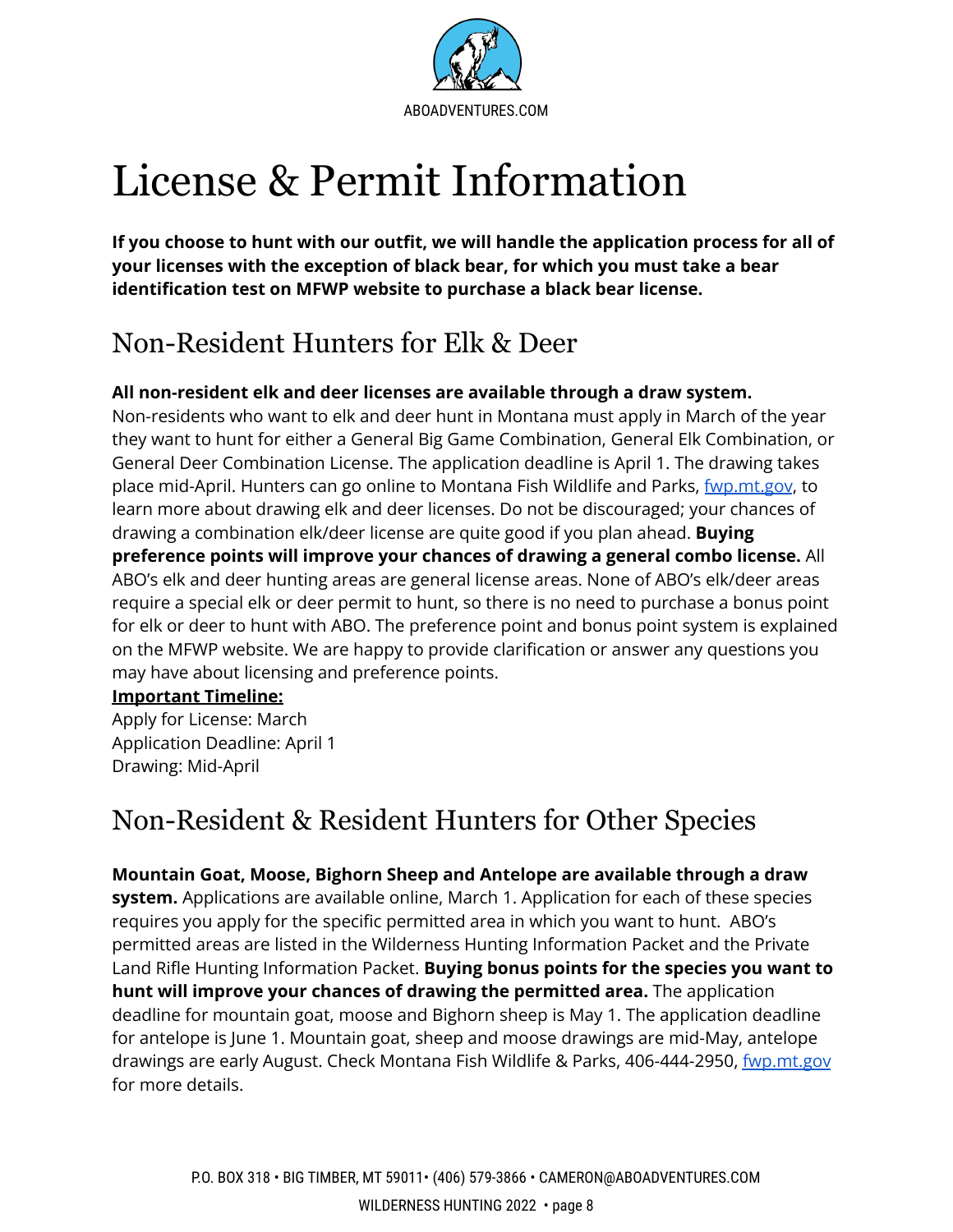

# <span id="page-9-0"></span>License & Permit Information

**If you choose to hunt with our outfit, we will handle the application process for all of your licenses with the exception of black bear, for which you must take a bear identification test on MFWP website to purchase a black bear license.**

### Non-Resident Hunters for Elk & Deer

#### **All non-resident elk and deer licenses are available through a draw system.**

Non-residents who want to elk and deer hunt in Montana must apply in March of the year they want to hunt for either a General Big Game Combination, General Elk Combination, or General Deer Combination License. The application deadline is April 1. The drawing takes place mid-April. Hunters can go online to Montana Fish Wildlife and Parks, *[fwp.mt.gov](http://www.fwp.mt.gov)*, to learn more about drawing elk and deer licenses. Do not be discouraged; your chances of drawing a combination elk/deer license are quite good if you plan ahead. **Buying preference points will improve your chances of drawing a general combo license.** All ABO's elk and deer hunting areas are general license areas. None of ABO's elk/deer areas require a special elk or deer permit to hunt, so there is no need to purchase a bonus point for elk or deer to hunt with ABO. The preference point and bonus point system is explained on the MFWP website. We are happy to provide clarification or answer any questions you may have about licensing and preference points.

#### **Important Timeline:**

Apply for License: March Application Deadline: April 1 Drawing: Mid-April

#### Non-Resident & Resident Hunters for Other Species

**Mountain Goat, Moose, Bighorn Sheep and Antelope are available through a draw system.** Applications are available online, March 1. Application for each of these species requires you apply for the specific permitted area in which you want to hunt. ABO's permitted areas are listed in the Wilderness Hunting Information Packet and the Private Land Rifle Hunting Information Packet. **Buying bonus points for the species you want to hunt will improve your chances of drawing the permitted area.** The application deadline for mountain goat, moose and Bighorn sheep is May 1. The application deadline for antelope is June 1. Mountain goat, sheep and moose drawings are mid-May, antelope drawings are early August. Check Montana Fish Wildlife & Parks, 406-444-2950, [fwp.mt.gov](http://www.fwp.mt.gov) for more details.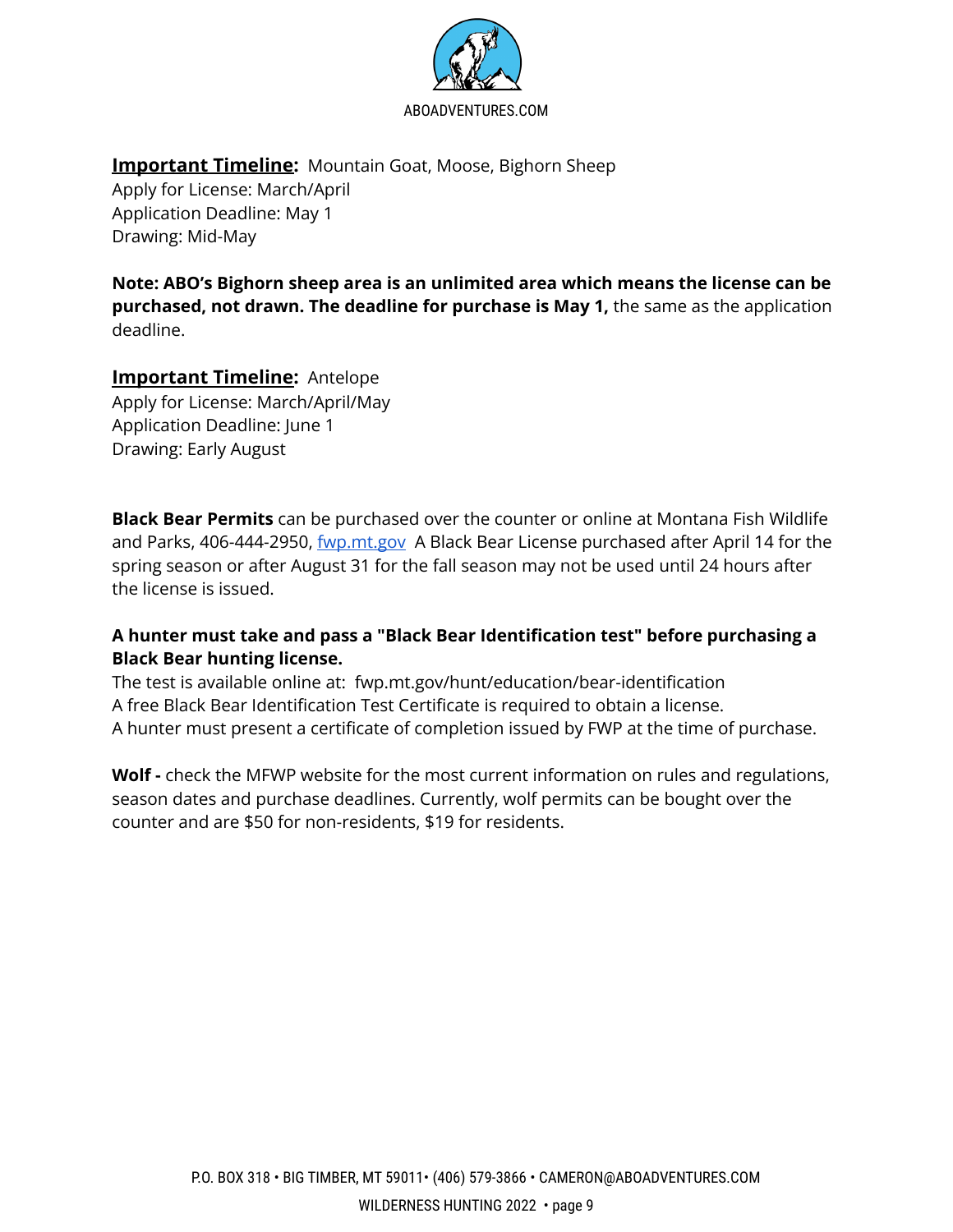

**Important Timeline:** Mountain Goat, Moose, Bighorn Sheep

Apply for License: March/April Application Deadline: May 1 Drawing: Mid-May

**Note: ABO's Bighorn sheep area is an unlimited area which means the license can be purchased, not drawn. The deadline for purchase is May 1,** the same as the application deadline.

#### **Important Timeline:** Antelope

Apply for License: March/April/May Application Deadline: June 1 Drawing: Early August

**Black Bear Permits** can be purchased over the counter or online at Montana Fish Wildlife and Parks, 406-444-2950, *[fwp.mt.gov](http://www.fwp.mt.gov)* A Black Bear License purchased after April 14 for the spring season or after August 31 for the fall season may not be used until 24 hours after the license is issued.

#### **A hunter must take and pass a "Black Bear Identification test" before purchasing a Black Bear hunting license.**

The test is available online at: fwp.mt.gov/hunt/education/bear-identification A free Black Bear Identification Test Certificate is required to obtain a license. A hunter must present a certificate of completion issued by FWP at the time of purchase.

**Wolf -** check the MFWP website for the most current information on rules and regulations, season dates and purchase deadlines. Currently, wolf permits can be bought over the counter and are \$50 for non-residents, \$19 for residents.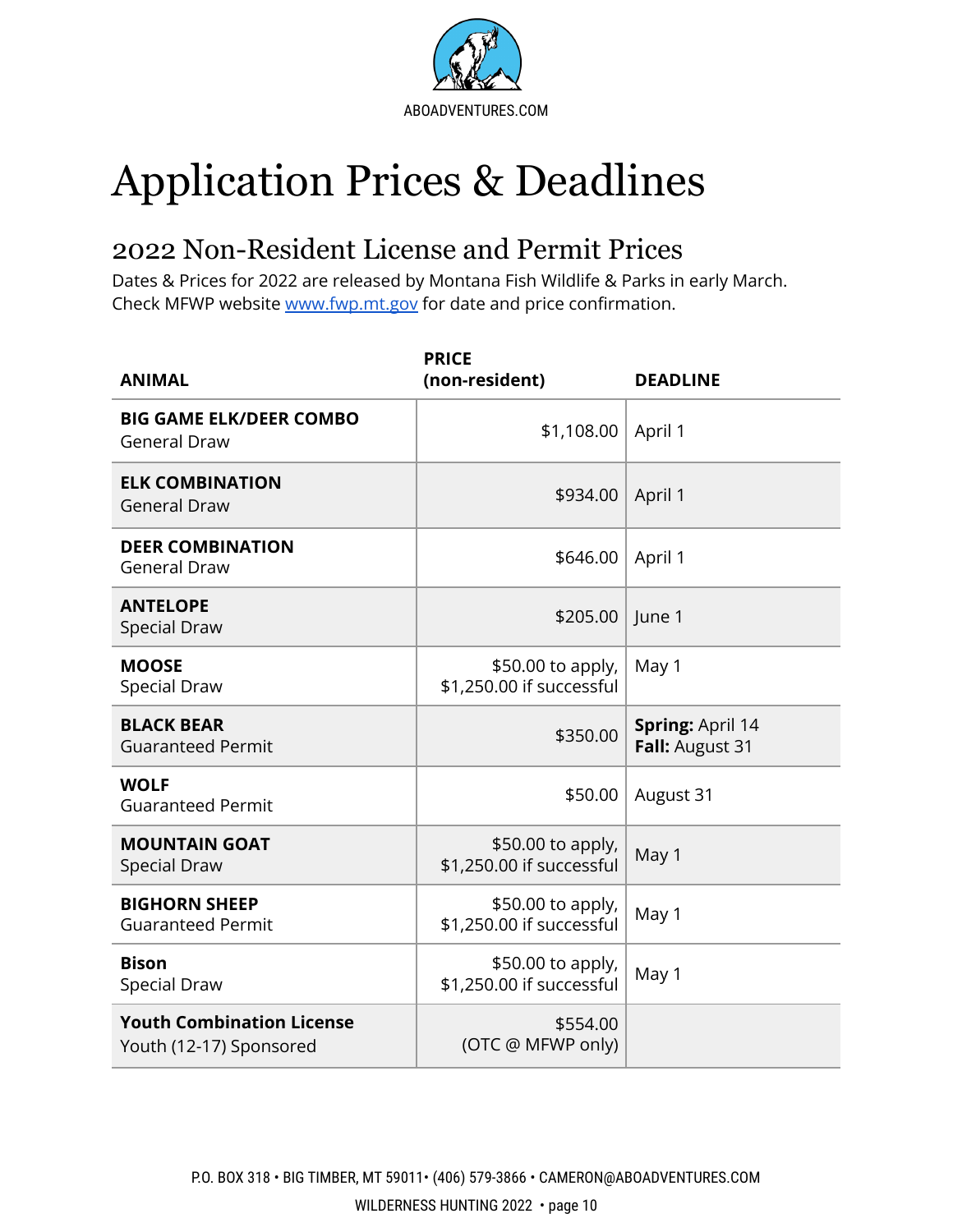

# <span id="page-11-0"></span>Application Prices & Deadlines

### <span id="page-11-1"></span>2022 Non-Resident License and Permit Prices

Dates & Prices for 2022 are released by Montana Fish Wildlife & Parks in early March. Check MFWP website [www.fwp.mt.gov](http://www.fwp.mt.gov) for date and price confirmation.

| <b>ANIMAL</b>                                               | <b>PRICE</b><br>(non-resident)                | <b>DEADLINE</b>                     |
|-------------------------------------------------------------|-----------------------------------------------|-------------------------------------|
| <b>BIG GAME ELK/DEER COMBO</b><br><b>General Draw</b>       | \$1,108.00                                    | April 1                             |
| <b>ELK COMBINATION</b><br><b>General Draw</b>               | \$934.00                                      | April 1                             |
| <b>DEER COMBINATION</b><br><b>General Draw</b>              | \$646.00                                      | April 1                             |
| <b>ANTELOPE</b><br><b>Special Draw</b>                      | \$205.00                                      | June 1                              |
| <b>MOOSE</b><br><b>Special Draw</b>                         | \$50.00 to apply,<br>\$1,250.00 if successful | May 1                               |
| <b>BLACK BEAR</b><br><b>Guaranteed Permit</b>               | \$350.00                                      | Spring: April 14<br>Fall: August 31 |
| <b>WOLF</b><br><b>Guaranteed Permit</b>                     | \$50.00                                       | August 31                           |
| <b>MOUNTAIN GOAT</b><br><b>Special Draw</b>                 | \$50.00 to apply,<br>\$1,250.00 if successful | May 1                               |
| <b>BIGHORN SHEEP</b><br><b>Guaranteed Permit</b>            | \$50.00 to apply,<br>\$1,250.00 if successful | May 1                               |
| <b>Bison</b><br><b>Special Draw</b>                         | \$50.00 to apply,<br>\$1,250.00 if successful | May 1                               |
| <b>Youth Combination License</b><br>Youth (12-17) Sponsored | \$554.00<br>(OTC @ MFWP only)                 |                                     |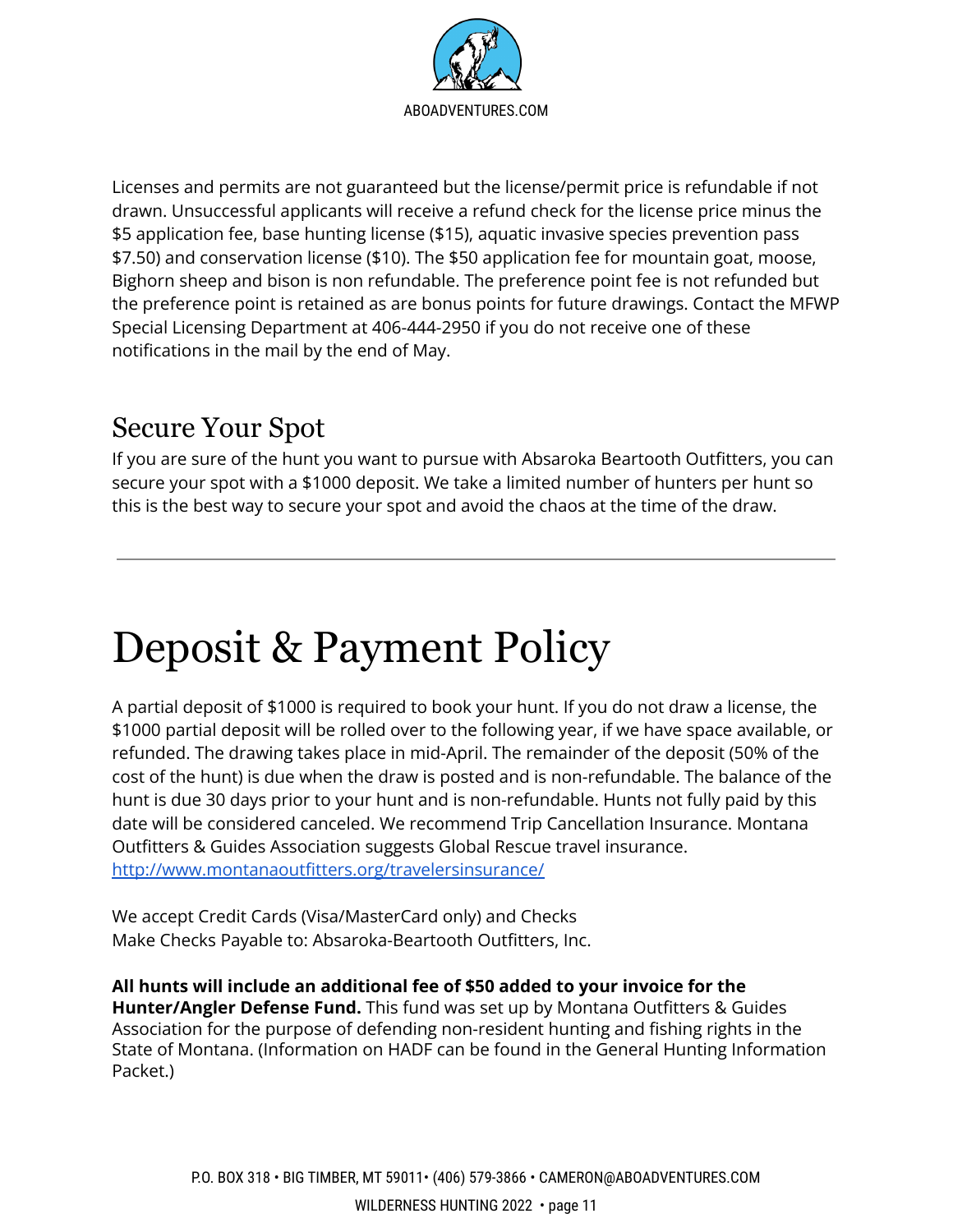

Licenses and permits are not guaranteed but the license/permit price is refundable if not drawn. Unsuccessful applicants will receive a refund check for the license price minus the \$5 application fee, base hunting license (\$15), aquatic invasive species prevention pass \$7.50) and conservation license (\$10). The \$50 application fee for mountain goat, moose, Bighorn sheep and bison is non refundable. The preference point fee is not refunded but the preference point is retained as are bonus points for future drawings. Contact the MFWP Special Licensing Department at 406-444-2950 if you do not receive one of these notifications in the mail by the end of May.

#### <span id="page-12-0"></span>Secure Your Spot

If you are sure of the hunt you want to pursue with Absaroka Beartooth Outfitters, you can secure your spot with a \$1000 deposit. We take a limited number of hunters per hunt so this is the best way to secure your spot and avoid the chaos at the time of the draw.

## Deposit & Payment Policy

A partial deposit of \$1000 is required to book your hunt. If you do not draw a license, the \$1000 partial deposit will be rolled over to the following year, if we have space available, or refunded. The drawing takes place in mid-April. The remainder of the deposit (50% of the cost of the hunt) is due when the draw is posted and is non-refundable. The balance of the hunt is due 30 days prior to your hunt and is non-refundable. Hunts not fully paid by this date will be considered canceled. We recommend Trip Cancellation Insurance. Montana Outfitters & Guides Association suggests Global Rescue travel insurance. <http://www.montanaoutfitters.org/travelersinsurance/>

We accept Credit Cards (Visa/MasterCard only) and Checks Make Checks Payable to: Absaroka-Beartooth Outfitters, Inc.

**All hunts will include an additional fee of \$50 added to your invoice for the Hunter/Angler Defense Fund.** This fund was set up by Montana Outfitters & Guides Association for the purpose of defending non-resident hunting and fishing rights in the State of Montana. (Information on HADF can be found in the General Hunting Information Packet.)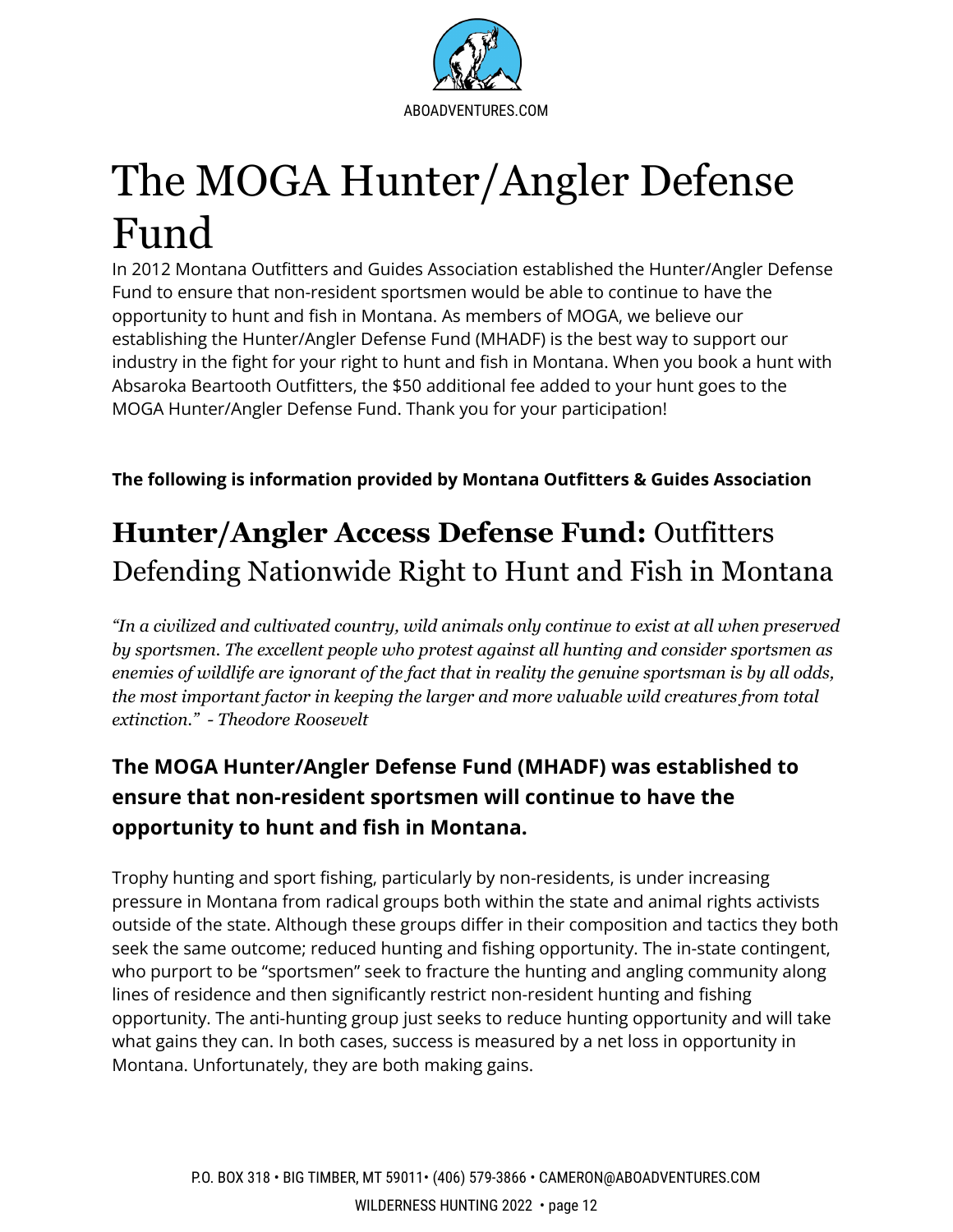

# <span id="page-13-0"></span>The MOGA Hunter/Angler Defense Fund

In 2012 Montana Outfitters and Guides Association established the Hunter/Angler Defense Fund to ensure that non-resident sportsmen would be able to continue to have the opportunity to hunt and fish in Montana. As members of MOGA, we believe our establishing the Hunter/Angler Defense Fund (MHADF) is the best way to support our industry in the fight for your right to hunt and fish in Montana. When you book a hunt with Absaroka Beartooth Outfitters, the \$50 additional fee added to your hunt goes to the MOGA Hunter/Angler Defense Fund. Thank you for your participation!

**The following is information provided by Montana Outfitters & Guides Association**

### **Hunter/Angler Access Defense Fund:** Outfitters Defending Nationwide Right to Hunt and Fish in Montana

*"In a civilized and cultivated country, wild animals only continue to exist at all when preserved by sportsmen. The excellent people who protest against all hunting and consider sportsmen as enemies of wildlife are ignorant of the fact that in reality the genuine sportsman is by all odds, the most important factor in keeping the larger and more valuable wild creatures from total extinction." - Theodore Roosevelt*

#### **The MOGA Hunter/Angler Defense Fund (MHADF) was established to ensure that non-resident sportsmen will continue to have the opportunity to hunt and fish in Montana.**

Trophy hunting and sport fishing, particularly by non-residents, is under increasing pressure in Montana from radical groups both within the state and animal rights activists outside of the state. Although these groups differ in their composition and tactics they both seek the same outcome; reduced hunting and fishing opportunity. The in-state contingent, who purport to be "sportsmen" seek to fracture the hunting and angling community along lines of residence and then significantly restrict non-resident hunting and fishing opportunity. The anti-hunting group just seeks to reduce hunting opportunity and will take what gains they can. In both cases, success is measured by a net loss in opportunity in Montana. Unfortunately, they are both making gains.